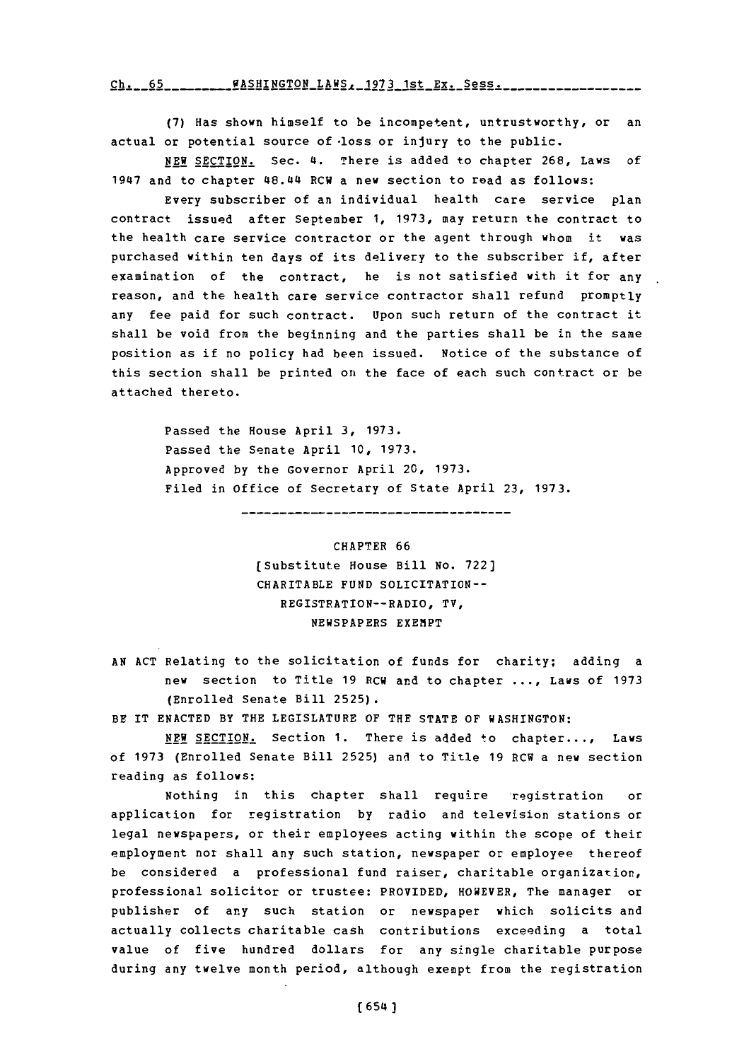$ch. 65$   $HASHINGTON_LAKS. 1973 1st_Ex. 5ess.$ 

**(7)** Has shown himself to be incompetent, untrustworthy, or an actual or potential source of loss or injury to the public.

**NEW** SECTION. Sec. 4. There is added to chapter **268,** Laws of 1947 and to chapter 48.44 RCW a new section to read as follows:

Every subscriber of an individual health care service plan contract issued after September **1, 1973,** may return the contract to the health care service contractor or the agent through whom it was purchased within ten days of its delivery to the subscriber if, after examination of the contract, he is not satisfied with it for any reason, and the health care service contractor shall refund promptly any fee paid for such contract. Upon such return of the contract it shall be void from the beginning and the parties shall be in the same position as if no policy had been issued. Notice of the substance of this section shall be printed on the face of each such contract or be attached thereto.

Passed the House April **3, 1973.** Passed the Senate April **10, 1973.** Approved **by** the Governor April 20, **1973.** Filed in Office of Secretary of State April **23, 1973.**

-------------------------------

CHAPTER **66** (Substitute House Bill **No. 722)** CHARITABLE **FUND** SOLICITATION-- REGISTRATION--RADIO, TV, NEWSPAPERS EXEMPT

**AN ACT** Relating to the solicitation of funds for charity; adding a new section to Title **19** RCW and to chapter **... ,** Laws of **1973** (Enrolled Senate Bill **2525).**

BE IT **ENACTED** BY THE LEGISLATURE OF THE **STATE** OF **WASHINGTON:**

**NEW** SECTION. Section **1.** There is added to chapter..., Laws of **1973** (Enrolled Senate Bill **2525)** and to Title **19** RCW a new section reading as follows:

Nothing in this chapter shall require registration or application for registration **by** radio and television stations or legal newspapers, or their employees acting within the scope of their employment nor shall any such station, newspaper or employee thereof be considered a professional fund raiser, charitable organization, professional solicitor or trustee: PROVIDED, HOWEVER, The manager or publisher of any such station or newspaper which solicits and actually collects charitable cash contributions exceeding a total value of five hundred dollars for any single charitable purpose during any twelve month period, although exempt from the registration